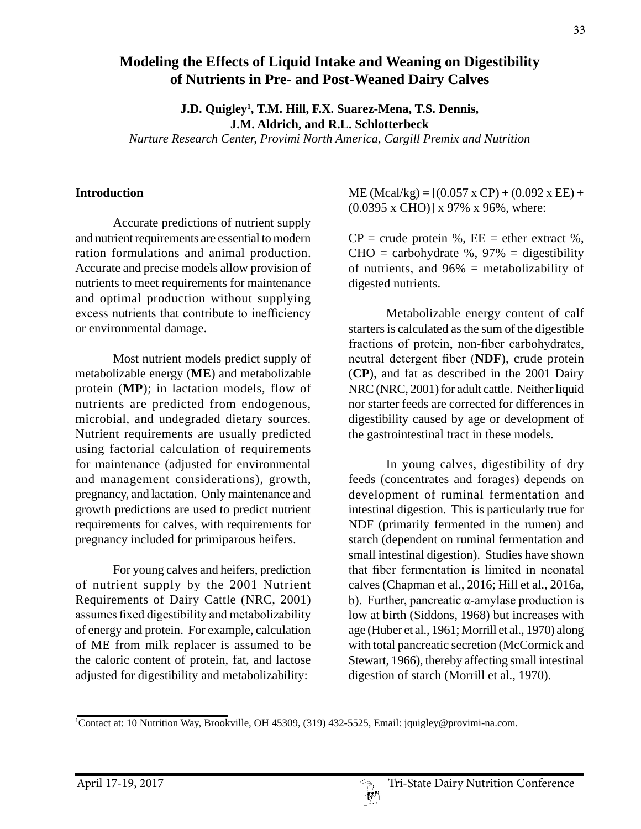# **Modeling the Effects of Liquid Intake and Weaning on Digestibility of Nutrients in Pre- and Post-Weaned Dairy Calves**

**J.D. Quigley1 , T.M. Hill, F.X. Suarez-Mena, T.S. Dennis, J.M. Aldrich, and R.L. Schlotterbeck** *Nurture Research Center, Provimi North America, Cargill Premix and Nutrition* 

## **Introduction**

Accurate predictions of nutrient supply and nutrient requirements are essential to modern ration formulations and animal production. Accurate and precise models allow provision of nutrients to meet requirements for maintenance and optimal production without supplying excess nutrients that contribute to inefficiency or environmental damage.

Most nutrient models predict supply of metabolizable energy (**ME**) and metabolizable protein (**MP**); in lactation models, flow of nutrients are predicted from endogenous, microbial, and undegraded dietary sources. Nutrient requirements are usually predicted using factorial calculation of requirements for maintenance (adjusted for environmental and management considerations), growth, pregnancy, and lactation. Only maintenance and growth predictions are used to predict nutrient requirements for calves, with requirements for pregnancy included for primiparous heifers.

For young calves and heifers, prediction of nutrient supply by the 2001 Nutrient Requirements of Dairy Cattle (NRC, 2001) assumes fixed digestibility and metabolizability of energy and protein. For example, calculation of ME from milk replacer is assumed to be the caloric content of protein, fat, and lactose adjusted for digestibility and metabolizability:

 $ME (Mcal/kg) = [(0.057 \times CP) + (0.092 \times EE) +$ (0.0395 x CHO)] x 97% x 96%, where:

 $CP = \text{crude protein } %$ ,  $EE = \text{ether extract } %$ ,  $CHO = \text{carbohydrate } %$ , 97% = digestibility of nutrients, and 96% = metabolizability of digested nutrients.

Metabolizable energy content of calf starters is calculated as the sum of the digestible fractions of protein, non-fiber carbohydrates, neutral detergent fiber (**NDF**), crude protein (**CP**), and fat as described in the 2001 Dairy NRC (NRC, 2001) for adult cattle. Neither liquid nor starter feeds are corrected for differences in digestibility caused by age or development of the gastrointestinal tract in these models.

In young calves, digestibility of dry feeds (concentrates and forages) depends on development of ruminal fermentation and intestinal digestion. This is particularly true for NDF (primarily fermented in the rumen) and starch (dependent on ruminal fermentation and small intestinal digestion). Studies have shown that fiber fermentation is limited in neonatal calves (Chapman et al., 2016; Hill et al., 2016a, b). Further, pancreatic α-amylase production is low at birth (Siddons, 1968) but increases with age (Huber et al., 1961; Morrill et al., 1970) along with total pancreatic secretion (McCormick and Stewart, 1966), thereby affecting small intestinal digestion of starch (Morrill et al., 1970).

<sup>1</sup> Contact at: 10 Nutrition Way, Brookville, OH 45309, (319) 432-5525, Email: jquigley@provimi-na.com.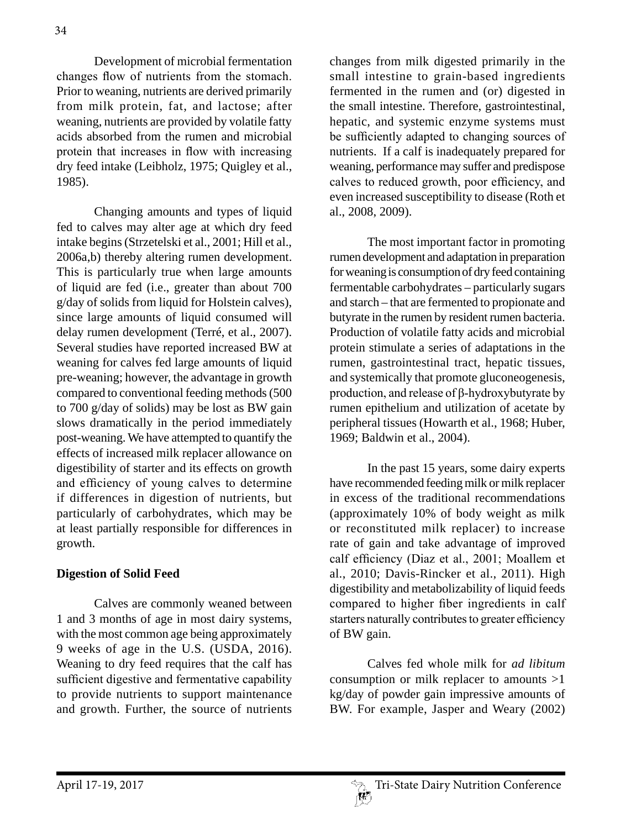Development of microbial fermentation changes flow of nutrients from the stomach. Prior to weaning, nutrients are derived primarily from milk protein, fat, and lactose; after weaning, nutrients are provided by volatile fatty acids absorbed from the rumen and microbial protein that increases in flow with increasing dry feed intake (Leibholz, 1975; Quigley et al., 1985).

Changing amounts and types of liquid fed to calves may alter age at which dry feed intake begins (Strzetelski et al., 2001; Hill et al., 2006a,b) thereby altering rumen development. This is particularly true when large amounts of liquid are fed (i.e., greater than about 700 g/day of solids from liquid for Holstein calves), since large amounts of liquid consumed will delay rumen development (Terré, et al., 2007). Several studies have reported increased BW at weaning for calves fed large amounts of liquid pre-weaning; however, the advantage in growth compared to conventional feeding methods (500 to 700 g/day of solids) may be lost as BW gain slows dramatically in the period immediately post-weaning. We have attempted to quantify the effects of increased milk replacer allowance on digestibility of starter and its effects on growth and efficiency of young calves to determine if differences in digestion of nutrients, but particularly of carbohydrates, which may be at least partially responsible for differences in growth.

### **Digestion of Solid Feed**

Calves are commonly weaned between 1 and 3 months of age in most dairy systems, with the most common age being approximately 9 weeks of age in the U.S. (USDA, 2016). Weaning to dry feed requires that the calf has sufficient digestive and fermentative capability to provide nutrients to support maintenance and growth. Further, the source of nutrients

changes from milk digested primarily in the small intestine to grain-based ingredients fermented in the rumen and (or) digested in the small intestine. Therefore, gastrointestinal, hepatic, and systemic enzyme systems must be sufficiently adapted to changing sources of nutrients. If a calf is inadequately prepared for weaning, performance may suffer and predispose calves to reduced growth, poor efficiency, and even increased susceptibility to disease (Roth et al., 2008, 2009).

The most important factor in promoting rumen development and adaptation in preparation for weaning is consumption of dry feed containing fermentable carbohydrates – particularly sugars and starch – that are fermented to propionate and butyrate in the rumen by resident rumen bacteria. Production of volatile fatty acids and microbial protein stimulate a series of adaptations in the rumen, gastrointestinal tract, hepatic tissues, and systemically that promote gluconeogenesis, production, and release of β-hydroxybutyrate by rumen epithelium and utilization of acetate by peripheral tissues (Howarth et al., 1968; Huber, 1969; Baldwin et al., 2004).

In the past 15 years, some dairy experts have recommended feeding milk or milk replacer in excess of the traditional recommendations (approximately 10% of body weight as milk or reconstituted milk replacer) to increase rate of gain and take advantage of improved calf efficiency (Diaz et al., 2001; Moallem et al., 2010; Davis-Rincker et al., 2011). High digestibility and metabolizability of liquid feeds compared to higher fiber ingredients in calf starters naturally contributes to greater efficiency of BW gain.

Calves fed whole milk for *ad libitum*  consumption or milk replacer to amounts >1 kg/day of powder gain impressive amounts of BW. For example, Jasper and Weary (2002)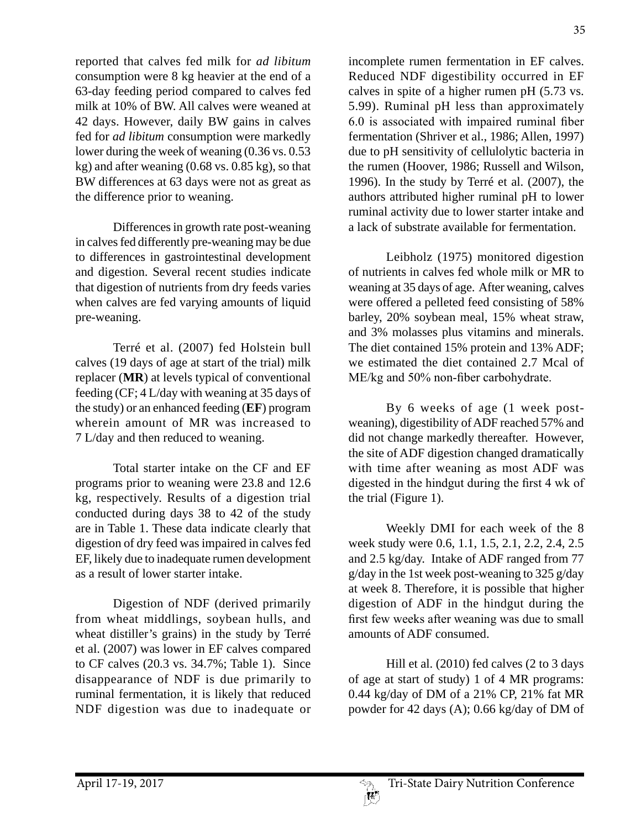reported that calves fed milk for *ad libitum*  consumption were 8 kg heavier at the end of a 63-day feeding period compared to calves fed milk at 10% of BW. All calves were weaned at 42 days. However, daily BW gains in calves fed for *ad libitum* consumption were markedly lower during the week of weaning (0.36 vs. 0.53 kg) and after weaning (0.68 vs. 0.85 kg), so that BW differences at 63 days were not as great as the difference prior to weaning.

Differences in growth rate post-weaning in calves fed differently pre-weaning may be due to differences in gastrointestinal development and digestion. Several recent studies indicate that digestion of nutrients from dry feeds varies when calves are fed varying amounts of liquid pre-weaning.

Terré et al. (2007) fed Holstein bull calves (19 days of age at start of the trial) milk replacer (**MR**) at levels typical of conventional feeding (CF; 4 L/day with weaning at 35 days of the study) or an enhanced feeding (**EF**) program wherein amount of MR was increased to 7 L/day and then reduced to weaning.

Total starter intake on the CF and EF programs prior to weaning were 23.8 and 12.6 kg, respectively. Results of a digestion trial conducted during days 38 to 42 of the study are in Table 1. These data indicate clearly that digestion of dry feed was impaired in calves fed EF, likely due to inadequate rumen development as a result of lower starter intake.

Digestion of NDF (derived primarily from wheat middlings, soybean hulls, and wheat distiller's grains) in the study by Terré et al. (2007) was lower in EF calves compared to CF calves (20.3 vs. 34.7%; Table 1). Since disappearance of NDF is due primarily to ruminal fermentation, it is likely that reduced NDF digestion was due to inadequate or incomplete rumen fermentation in EF calves. Reduced NDF digestibility occurred in EF calves in spite of a higher rumen pH (5.73 vs. 5.99). Ruminal pH less than approximately 6.0 is associated with impaired ruminal fiber fermentation (Shriver et al., 1986; Allen, 1997) due to pH sensitivity of cellulolytic bacteria in the rumen (Hoover, 1986; Russell and Wilson, 1996). In the study by Terré et al. (2007), the authors attributed higher ruminal pH to lower ruminal activity due to lower starter intake and a lack of substrate available for fermentation.

Leibholz (1975) monitored digestion of nutrients in calves fed whole milk or MR to weaning at 35 days of age. After weaning, calves were offered a pelleted feed consisting of 58% barley, 20% soybean meal, 15% wheat straw, and 3% molasses plus vitamins and minerals. The diet contained 15% protein and 13% ADF; we estimated the diet contained 2.7 Mcal of ME/kg and 50% non-fiber carbohydrate.

By 6 weeks of age (1 week postweaning), digestibility of ADF reached 57% and did not change markedly thereafter. However, the site of ADF digestion changed dramatically with time after weaning as most ADF was digested in the hindgut during the first 4 wk of the trial (Figure 1).

Weekly DMI for each week of the 8 week study were 0.6, 1.1, 1.5, 2.1, 2.2, 2.4, 2.5 and 2.5 kg/day. Intake of ADF ranged from 77 g/day in the 1st week post-weaning to 325 g/day at week 8. Therefore, it is possible that higher digestion of ADF in the hindgut during the first few weeks after weaning was due to small amounts of ADF consumed.

Hill et al. (2010) fed calves (2 to 3 days of age at start of study) 1 of 4 MR programs: 0.44 kg/day of DM of a 21% CP, 21% fat MR powder for 42 days (A); 0.66 kg/day of DM of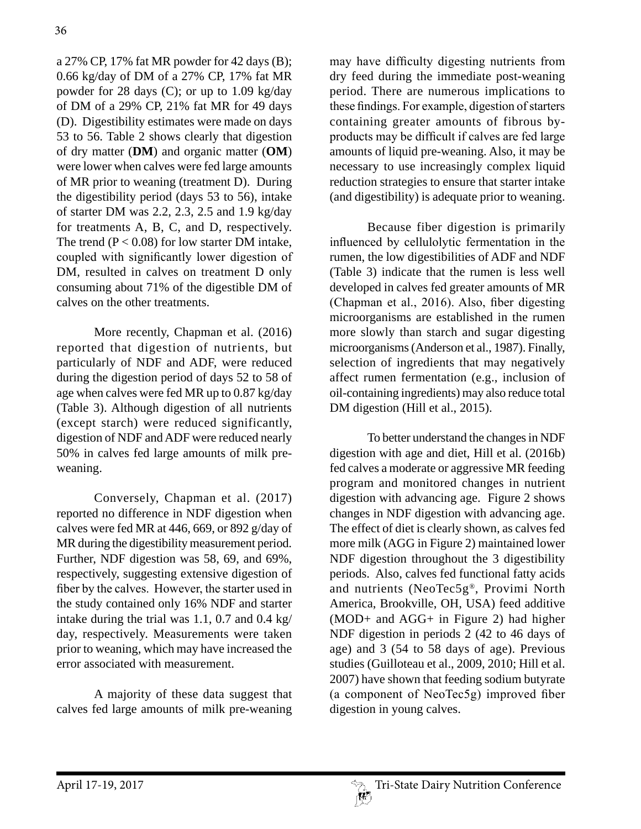a 27% CP, 17% fat MR powder for 42 days (B); 0.66 kg/day of DM of a 27% CP, 17% fat MR powder for 28 days (C); or up to 1.09 kg/day of DM of a 29% CP, 21% fat MR for 49 days (D). Digestibility estimates were made on days 53 to 56. Table 2 shows clearly that digestion of dry matter (**DM**) and organic matter (**OM**) were lower when calves were fed large amounts of MR prior to weaning (treatment D). During the digestibility period (days 53 to 56), intake of starter DM was 2.2, 2.3, 2.5 and 1.9 kg/day for treatments A, B, C, and D, respectively. The trend  $(P < 0.08)$  for low starter DM intake, coupled with significantly lower digestion of DM, resulted in calves on treatment D only consuming about 71% of the digestible DM of calves on the other treatments.

More recently, Chapman et al. (2016) reported that digestion of nutrients, but particularly of NDF and ADF, were reduced during the digestion period of days 52 to 58 of age when calves were fed MR up to 0.87 kg/day (Table 3). Although digestion of all nutrients (except starch) were reduced significantly, digestion of NDF and ADF were reduced nearly 50% in calves fed large amounts of milk preweaning.

Conversely, Chapman et al. (2017) reported no difference in NDF digestion when calves were fed MR at 446, 669, or 892 g/day of MR during the digestibility measurement period. Further, NDF digestion was 58, 69, and 69%, respectively, suggesting extensive digestion of fiber by the calves. However, the starter used in the study contained only 16% NDF and starter intake during the trial was 1.1, 0.7 and 0.4 kg/ day, respectively. Measurements were taken prior to weaning, which may have increased the error associated with measurement.

A majority of these data suggest that calves fed large amounts of milk pre-weaning may have difficulty digesting nutrients from dry feed during the immediate post-weaning period. There are numerous implications to these findings. For example, digestion of starters containing greater amounts of fibrous byproducts may be difficult if calves are fed large amounts of liquid pre-weaning. Also, it may be necessary to use increasingly complex liquid reduction strategies to ensure that starter intake (and digestibility) is adequate prior to weaning.

Because fiber digestion is primarily influenced by cellulolytic fermentation in the rumen, the low digestibilities of ADF and NDF (Table 3) indicate that the rumen is less well developed in calves fed greater amounts of MR (Chapman et al., 2016). Also, fiber digesting microorganisms are established in the rumen more slowly than starch and sugar digesting microorganisms (Anderson et al., 1987). Finally, selection of ingredients that may negatively affect rumen fermentation (e.g., inclusion of oil-containing ingredients) may also reduce total DM digestion (Hill et al., 2015).

To better understand the changes in NDF digestion with age and diet, Hill et al. (2016b) fed calves a moderate or aggressive MR feeding program and monitored changes in nutrient digestion with advancing age. Figure 2 shows changes in NDF digestion with advancing age. The effect of diet is clearly shown, as calves fed more milk (AGG in Figure 2) maintained lower NDF digestion throughout the 3 digestibility periods. Also, calves fed functional fatty acids and nutrients (NeoTec5g®, Provimi North America, Brookville, OH, USA) feed additive (MOD+ and AGG+ in Figure 2) had higher NDF digestion in periods 2 (42 to 46 days of age) and 3 (54 to 58 days of age). Previous studies (Guilloteau et al., 2009, 2010; Hill et al. 2007) have shown that feeding sodium butyrate (a component of NeoTec5g) improved fiber digestion in young calves.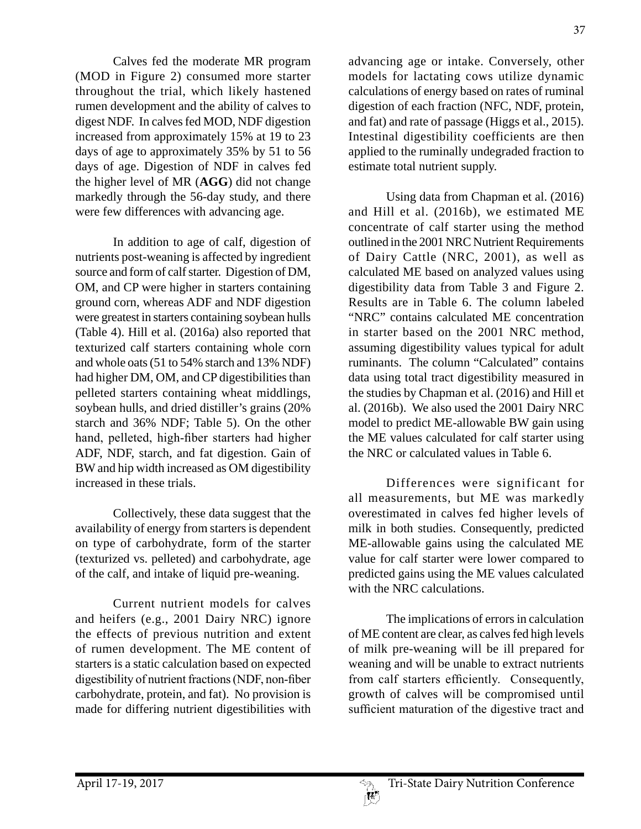Calves fed the moderate MR program (MOD in Figure 2) consumed more starter throughout the trial, which likely hastened rumen development and the ability of calves to digest NDF. In calves fed MOD, NDF digestion increased from approximately 15% at 19 to 23 days of age to approximately 35% by 51 to 56 days of age. Digestion of NDF in calves fed the higher level of MR (**AGG**) did not change markedly through the 56-day study, and there were few differences with advancing age.

In addition to age of calf, digestion of nutrients post-weaning is affected by ingredient source and form of calf starter. Digestion of DM, OM, and CP were higher in starters containing ground corn, whereas ADF and NDF digestion were greatest in starters containing soybean hulls (Table 4). Hill et al. (2016a) also reported that texturized calf starters containing whole corn and whole oats (51 to 54% starch and 13% NDF) had higher DM, OM, and CP digestibilities than pelleted starters containing wheat middlings, soybean hulls, and dried distiller's grains (20% starch and 36% NDF; Table 5). On the other hand, pelleted, high-fiber starters had higher ADF, NDF, starch, and fat digestion. Gain of BW and hip width increased as OM digestibility increased in these trials.

Collectively, these data suggest that the availability of energy from starters is dependent on type of carbohydrate, form of the starter (texturized vs. pelleted) and carbohydrate, age of the calf, and intake of liquid pre-weaning.

Current nutrient models for calves and heifers (e.g., 2001 Dairy NRC) ignore the effects of previous nutrition and extent of rumen development. The ME content of starters is a static calculation based on expected digestibility of nutrient fractions (NDF, non-fiber carbohydrate, protein, and fat). No provision is made for differing nutrient digestibilities with

advancing age or intake. Conversely, other models for lactating cows utilize dynamic calculations of energy based on rates of ruminal digestion of each fraction (NFC, NDF, protein, and fat) and rate of passage (Higgs et al., 2015). Intestinal digestibility coefficients are then applied to the ruminally undegraded fraction to estimate total nutrient supply.

Using data from Chapman et al. (2016) and Hill et al. (2016b), we estimated ME concentrate of calf starter using the method outlined in the 2001 NRC Nutrient Requirements of Dairy Cattle (NRC, 2001), as well as calculated ME based on analyzed values using digestibility data from Table 3 and Figure 2. Results are in Table 6. The column labeled "NRC" contains calculated ME concentration in starter based on the 2001 NRC method, assuming digestibility values typical for adult ruminants. The column "Calculated" contains data using total tract digestibility measured in the studies by Chapman et al. (2016) and Hill et al. (2016b). We also used the 2001 Dairy NRC model to predict ME-allowable BW gain using the ME values calculated for calf starter using the NRC or calculated values in Table 6.

Differences were significant for all measurements, but ME was markedly overestimated in calves fed higher levels of milk in both studies. Consequently, predicted ME-allowable gains using the calculated ME value for calf starter were lower compared to predicted gains using the ME values calculated with the NRC calculations.

The implications of errors in calculation of ME content are clear, as calves fed high levels of milk pre-weaning will be ill prepared for weaning and will be unable to extract nutrients from calf starters efficiently. Consequently, growth of calves will be compromised until sufficient maturation of the digestive tract and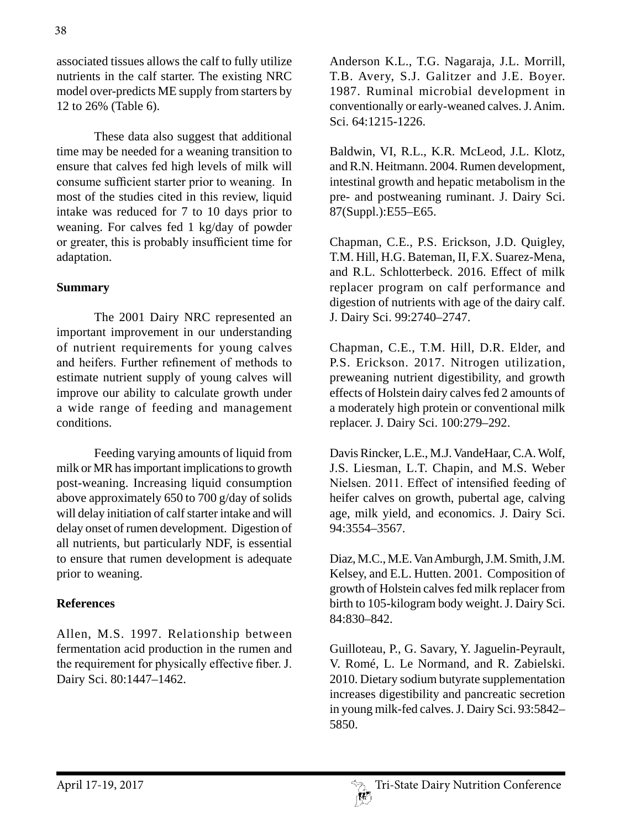associated tissues allows the calf to fully utilize nutrients in the calf starter. The existing NRC model over-predicts ME supply from starters by 12 to 26% (Table 6).

These data also suggest that additional time may be needed for a weaning transition to ensure that calves fed high levels of milk will consume sufficient starter prior to weaning. In most of the studies cited in this review, liquid intake was reduced for 7 to 10 days prior to weaning. For calves fed 1 kg/day of powder or greater, this is probably insufficient time for adaptation.

### **Summary**

The 2001 Dairy NRC represented an important improvement in our understanding of nutrient requirements for young calves and heifers. Further refinement of methods to estimate nutrient supply of young calves will improve our ability to calculate growth under a wide range of feeding and management conditions.

Feeding varying amounts of liquid from milk or MR has important implications to growth post-weaning. Increasing liquid consumption above approximately 650 to 700 g/day of solids will delay initiation of calf starter intake and will delay onset of rumen development. Digestion of all nutrients, but particularly NDF, is essential to ensure that rumen development is adequate prior to weaning.

### **References**

Allen, M.S. 1997. Relationship between fermentation acid production in the rumen and the requirement for physically effective fiber. J. Dairy Sci. 80:1447–1462.

Anderson K.L., T.G. Nagaraja, J.L. Morrill, T.B. Avery, S.J. Galitzer and J.E. Boyer. 1987. Ruminal microbial development in conventionally or early-weaned calves. J. Anim. Sci. 64:1215-1226.

Baldwin, VI, R.L., K.R. McLeod, J.L. Klotz, and R.N. Heitmann. 2004. Rumen development, intestinal growth and hepatic metabolism in the pre- and postweaning ruminant. J. Dairy Sci. 87(Suppl.):E55–E65.

Chapman, C.E., P.S. Erickson, J.D. Quigley, T.M. Hill, H.G. Bateman, II, F.X. Suarez-Mena, and R.L. Schlotterbeck. 2016. Effect of milk replacer program on calf performance and digestion of nutrients with age of the dairy calf. J. Dairy Sci. 99:2740–2747.

Chapman, C.E., T.M. Hill, D.R. Elder, and P.S. Erickson. 2017. Nitrogen utilization, preweaning nutrient digestibility, and growth effects of Holstein dairy calves fed 2 amounts of a moderately high protein or conventional milk replacer. J. Dairy Sci. 100:279–292.

Davis Rincker, L.E., M.J. VandeHaar, C.A. Wolf, J.S. Liesman, L.T. Chapin, and M.S. Weber Nielsen. 2011. Effect of intensified feeding of heifer calves on growth, pubertal age, calving age, milk yield, and economics. J. Dairy Sci. 94:3554–3567.

Diaz, M.C., M.E. Van Amburgh, J.M. Smith, J.M. Kelsey, and E.L. Hutten. 2001. Composition of growth of Holstein calves fed milk replacer from birth to 105-kilogram body weight. J. Dairy Sci. 84:830–842.

Guilloteau, P., G. Savary, Y. Jaguelin-Peyrault, V. Romé, L. Le Normand, and R. Zabielski. 2010. Dietary sodium butyrate supplementation increases digestibility and pancreatic secretion in young milk-fed calves. J. Dairy Sci. 93:5842– 5850.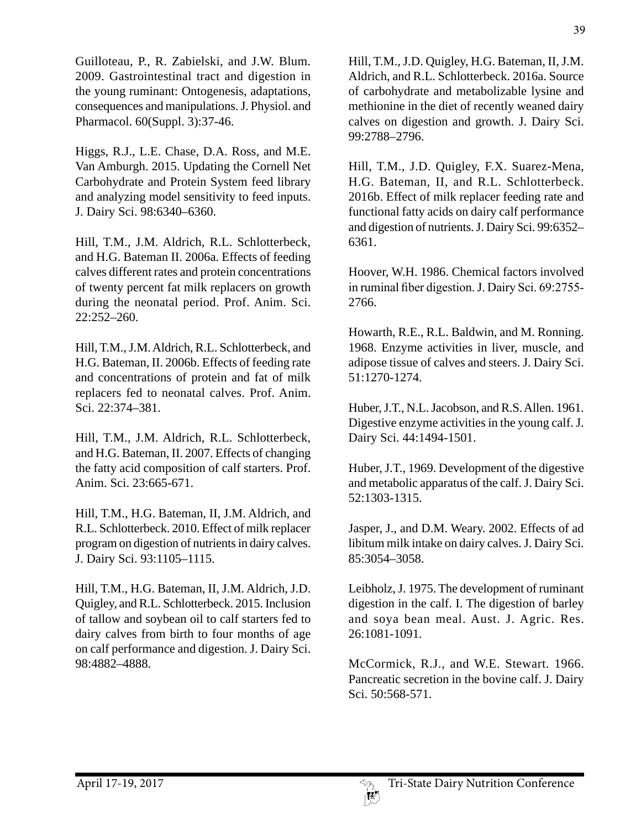Guilloteau, P., R. Zabielski, and J.W. Blum. 2009. Gastrointestinal tract and digestion in the young ruminant: Ontogenesis, adaptations, consequences and manipulations. J. Physiol. and Pharmacol. 60(Suppl. 3):37-46.

Higgs, R.J., L.E. Chase, D.A. Ross, and M.E. Van Amburgh. 2015. Updating the Cornell Net Carbohydrate and Protein System feed library and analyzing model sensitivity to feed inputs. J. Dairy Sci. 98:6340–6360.

Hill, T.M., J.M. Aldrich, R.L. Schlotterbeck, and H.G. Bateman II. 2006a. Effects of feeding calves different rates and protein concentrations of twenty percent fat milk replacers on growth during the neonatal period. Prof. Anim. Sci. 22:252–260.

Hill, T.M., J.M. Aldrich, R.L. Schlotterbeck, and H.G. Bateman, II. 2006b. Effects of feeding rate and concentrations of protein and fat of milk replacers fed to neonatal calves. Prof. Anim. Sci. 22:374–381.

Hill, T.M., J.M. Aldrich, R.L. Schlotterbeck, and H.G. Bateman, II. 2007. Effects of changing the fatty acid composition of calf starters. Prof. Anim. Sci. 23:665-671.

Hill, T.M., H.G. Bateman, II, J.M. Aldrich, and R.L. Schlotterbeck. 2010. Effect of milk replacer program on digestion of nutrients in dairy calves. J. Dairy Sci. 93:1105–1115.

Hill, T.M., H.G. Bateman, II, J.M. Aldrich, J.D. Quigley, and R.L. Schlotterbeck. 2015. Inclusion of tallow and soybean oil to calf starters fed to dairy calves from birth to four months of age on calf performance and digestion. J. Dairy Sci. 98:4882–4888.

Hill, T.M., J.D. Quigley, H.G. Bateman, II, J.M. Aldrich, and R.L. Schlotterbeck. 2016a. Source of carbohydrate and metabolizable lysine and methionine in the diet of recently weaned dairy calves on digestion and growth. J. Dairy Sci. 99:2788–2796.

Hill, T.M., J.D. Quigley, F.X. Suarez-Mena, H.G. Bateman, II, and R.L. Schlotterbeck. 2016b. Effect of milk replacer feeding rate and functional fatty acids on dairy calf performance and digestion of nutrients. J. Dairy Sci. 99:6352– 6361.

Hoover, W.H. 1986. Chemical factors involved in ruminal fiber digestion. J. Dairy Sci. 69:2755- 2766.

Howarth, R.E., R.L. Baldwin, and M. Ronning. 1968. Enzyme activities in liver, muscle, and adipose tissue of calves and steers. J. Dairy Sci. 51:1270-1274.

Huber, J.T., N.L. Jacobson, and R.S. Allen. 1961. Digestive enzyme activities in the young calf. J. Dairy Sci. 44:1494-1501.

Huber, J.T., 1969. Development of the digestive and metabolic apparatus of the calf. J. Dairy Sci. 52:1303-1315.

Jasper, J., and D.M. Weary. 2002. Effects of ad libitum milk intake on dairy calves. J. Dairy Sci. 85:3054–3058.

Leibholz, J. 1975. The development of ruminant digestion in the calf. I. The digestion of barley and soya bean meal. Aust. J. Agric. Res. 26:1081-1091.

McCormick, R.J., and W.E. Stewart. 1966. Pancreatic secretion in the bovine calf. J. Dairy Sci. 50:568-571.

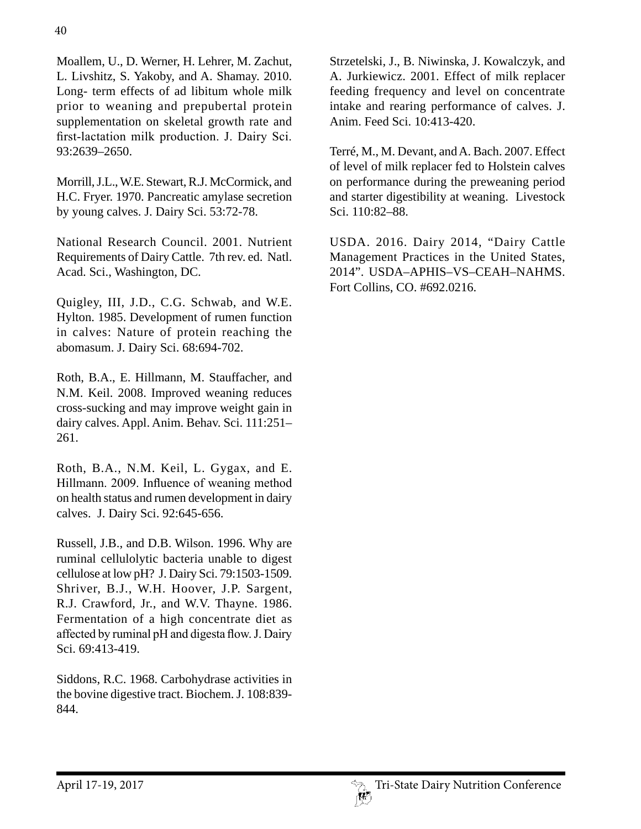Moallem, U., D. Werner, H. Lehrer, M. Zachut, L. Livshitz, S. Yakoby, and A. Shamay. 2010. Long- term effects of ad libitum whole milk prior to weaning and prepubertal protein supplementation on skeletal growth rate and first-lactation milk production. J. Dairy Sci. 93:2639–2650.

Morrill, J.L., W.E. Stewart, R.J. McCormick, and H.C. Fryer. 1970. Pancreatic amylase secretion by young calves. J. Dairy Sci. 53:72-78.

National Research Council. 2001. Nutrient Requirements of Dairy Cattle. 7th rev. ed. Natl. Acad. Sci., Washington, DC.

Quigley, III, J.D., C.G. Schwab, and W.E. Hylton. 1985. Development of rumen function in calves: Nature of protein reaching the abomasum. J. Dairy Sci. 68:694-702.

Roth, B.A., E. Hillmann, M. Stauffacher, and N.M. Keil. 2008. Improved weaning reduces cross-sucking and may improve weight gain in dairy calves. Appl. Anim. Behav. Sci. 111:251– 261.

Roth, B.A., N.M. Keil, L. Gygax, and E. Hillmann. 2009. Influence of weaning method on health status and rumen development in dairy calves. J. Dairy Sci. 92:645-656.

Russell, J.B., and D.B. Wilson. 1996. Why are ruminal cellulolytic bacteria unable to digest cellulose at low pH? J. Dairy Sci. 79:1503-1509. Shriver, B.J., W.H. Hoover, J.P. Sargent, R.J. Crawford, Jr., and W.V. Thayne. 1986. Fermentation of a high concentrate diet as affected by ruminal pH and digesta flow. J. Dairy Sci. 69:413-419.

Siddons, R.C. 1968. Carbohydrase activities in the bovine digestive tract. Biochem. J. 108:839- 844.

Strzetelski, J., B. Niwinska, J. Kowalczyk, and A. Jurkiewicz. 2001. Effect of milk replacer feeding frequency and level on concentrate intake and rearing performance of calves. J. Anim. Feed Sci. 10:413-420.

Terré, M., M. Devant, and A. Bach. 2007. Effect of level of milk replacer fed to Holstein calves on performance during the preweaning period and starter digestibility at weaning. Livestock Sci. 110:82–88.

USDA. 2016. Dairy 2014, "Dairy Cattle Management Practices in the United States, 2014". USDA–APHIS–VS–CEAH–NAHMS. Fort Collins, CO. #692.0216.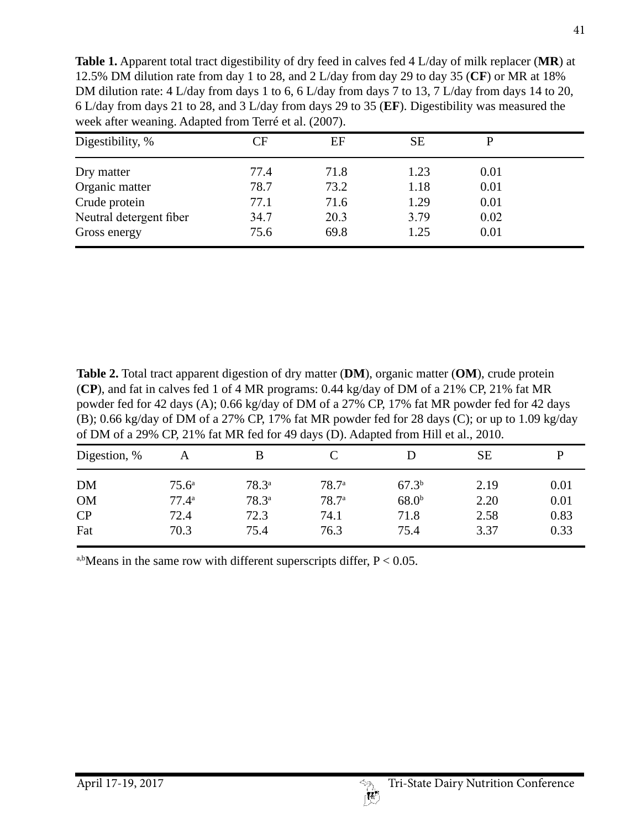**Table 1.** Apparent total tract digestibility of dry feed in calves fed 4 L/day of milk replacer (**MR**) at 12.5% DM dilution rate from day 1 to 28, and 2 L/day from day 29 to day 35 (**CF**) or MR at 18% DM dilution rate: 4 L/day from days 1 to 6, 6 L/day from days 7 to 13, 7 L/day from days 14 to 20, 6 L/day from days 21 to 28, and 3 L/day from days 29 to 35 (**EF**). Digestibility was measured the week after weaning. Adapted from Terré et al. (2007).

| Digestibility, %        | $\rm CF$ | EF   | <b>SE</b> |      |  |
|-------------------------|----------|------|-----------|------|--|
| Dry matter              | 77.4     | 71.8 | 1.23      | 0.01 |  |
| Organic matter          | 78.7     | 73.2 | 1.18      | 0.01 |  |
| Crude protein           | 77.1     | 71.6 | 1.29      | 0.01 |  |
| Neutral detergent fiber | 34.7     | 20.3 | 3.79      | 0.02 |  |
| Gross energy            | 75.6     | 69.8 | 1.25      | 0.01 |  |

**Table 2.** Total tract apparent digestion of dry matter (**DM**), organic matter (**OM**), crude protein (**CP**), and fat in calves fed 1 of 4 MR programs: 0.44 kg/day of DM of a 21% CP, 21% fat MR powder fed for 42 days (A); 0.66 kg/day of DM of a 27% CP, 17% fat MR powder fed for 42 days (B); 0.66 kg/day of DM of a 27% CP, 17% fat MR powder fed for 28 days (C); or up to 1.09 kg/day of DM of a 29% CP, 21% fat MR fed for 49 days (D). Adapted from Hill et al., 2010.

| A              |            |                   |                   | <b>SE</b> |      |
|----------------|------------|-------------------|-------------------|-----------|------|
| $75.6^{\circ}$ | $78.3^{a}$ | 78.7 <sup>a</sup> | $67.3^{b}$        | 2.19      | 0.01 |
| $77.4^{\circ}$ | $78.3^{a}$ | 78.7 <sup>a</sup> | 68.0 <sup>b</sup> | 2.20      | 0.01 |
| 72.4           | 72.3       | 74.1              | 71.8              | 2.58      | 0.83 |
| 70.3           | 75.4       | 76.3              | 75.4              | 3.37      | 0.33 |
|                |            |                   |                   |           |      |

a,bMeans in the same row with different superscripts differ,  $P < 0.05$ .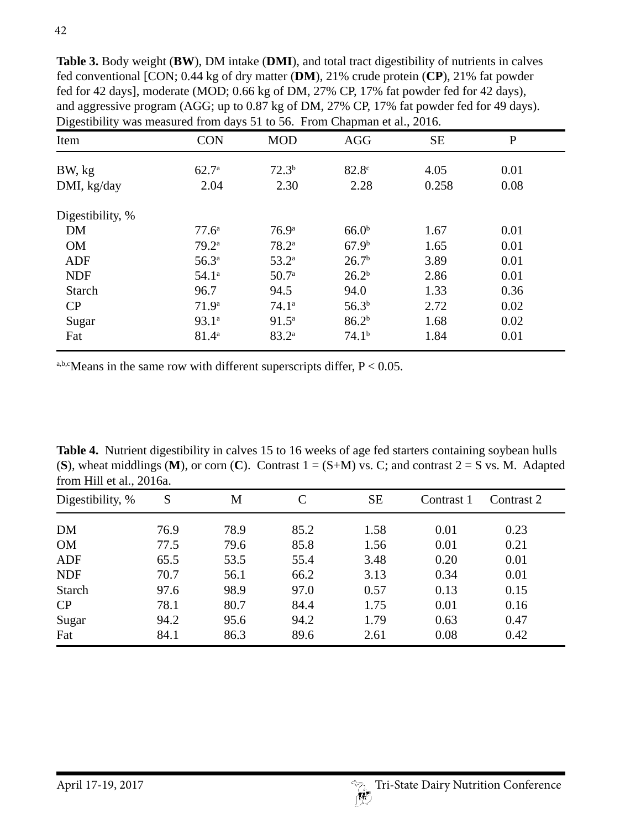**Table 3.** Body weight (**BW**), DM intake (**DMI**), and total tract digestibility of nutrients in calves fed conventional [CON; 0.44 kg of dry matter (**DM**), 21% crude protein (**CP**), 21% fat powder fed for 42 days], moderate (MOD; 0.66 kg of DM, 27% CP, 17% fat powder fed for 42 days), and aggressive program (AGG; up to 0.87 kg of DM, 27% CP, 17% fat powder fed for 49 days). Digestibility was measured from days 51 to 56. From Chapman et al., 2016.

| Item             | <b>CON</b>        | <b>MOD</b>        | <b>AGG</b>        | <b>SE</b> | $\mathbf P$ |
|------------------|-------------------|-------------------|-------------------|-----------|-------------|
| BW, kg           | $62.7^{\circ}$    | $72.3^{b}$        | 82.8 <sup>c</sup> | 4.05      | 0.01        |
| DMI, kg/day      | 2.04              | 2.30              | 2.28              | 0.258     | 0.08        |
| Digestibility, % |                   |                   |                   |           |             |
| <b>DM</b>        | 77.6 <sup>a</sup> | 76.9 <sup>a</sup> | 66.0 <sup>b</sup> | 1.67      | 0.01        |
| <b>OM</b>        | $79.2^{\circ}$    | $78.2^{\circ}$    | 67.9 <sup>b</sup> | 1.65      | 0.01        |
| <b>ADF</b>       | $56.3^{a}$        | $53.2^{\rm a}$    | 26.7 <sup>b</sup> | 3.89      | 0.01        |
| <b>NDF</b>       | 54.1 <sup>a</sup> | 50.7 <sup>a</sup> | 26.2 <sup>b</sup> | 2.86      | 0.01        |
| <b>Starch</b>    | 96.7              | 94.5              | 94.0              | 1.33      | 0.36        |
| CP               | 71.9 <sup>a</sup> | 74.1 <sup>a</sup> | 56.3 <sup>b</sup> | 2.72      | 0.02        |
| Sugar            | 93.1 <sup>a</sup> | $91.5^{\rm a}$    | 86.2 <sup>b</sup> | 1.68      | 0.02        |
| Fat              | $81.4^{\circ}$    | $83.2^{a}$        | 74.1 <sup>b</sup> | 1.84      | 0.01        |

a,b,cMeans in the same row with different superscripts differ,  $P < 0.05$ .

**Table 4.** Nutrient digestibility in calves 15 to 16 weeks of age fed starters containing soybean hulls (**S**), wheat middlings (**M**), or corn (**C**). Contrast  $1 = (S+M)$  vs. C; and contrast  $2 = S$  vs. M. Adapted from Hill et al., 2016a.

| Digestibility, % | S    | M    | $\mathsf{C}$ | <b>SE</b> | Contrast 1 | Contrast 2 |
|------------------|------|------|--------------|-----------|------------|------------|
| DM               | 76.9 | 78.9 | 85.2         | 1.58      | 0.01       | 0.23       |
| <b>OM</b>        | 77.5 | 79.6 | 85.8         | 1.56      | 0.01       | 0.21       |
| <b>ADF</b>       | 65.5 | 53.5 | 55.4         | 3.48      | 0.20       | 0.01       |
| <b>NDF</b>       | 70.7 | 56.1 | 66.2         | 3.13      | 0.34       | 0.01       |
| <b>Starch</b>    | 97.6 | 98.9 | 97.0         | 0.57      | 0.13       | 0.15       |
| CP               | 78.1 | 80.7 | 84.4         | 1.75      | 0.01       | 0.16       |
| Sugar            | 94.2 | 95.6 | 94.2         | 1.79      | 0.63       | 0.47       |
| Fat              | 84.1 | 86.3 | 89.6         | 2.61      | 0.08       | 0.42       |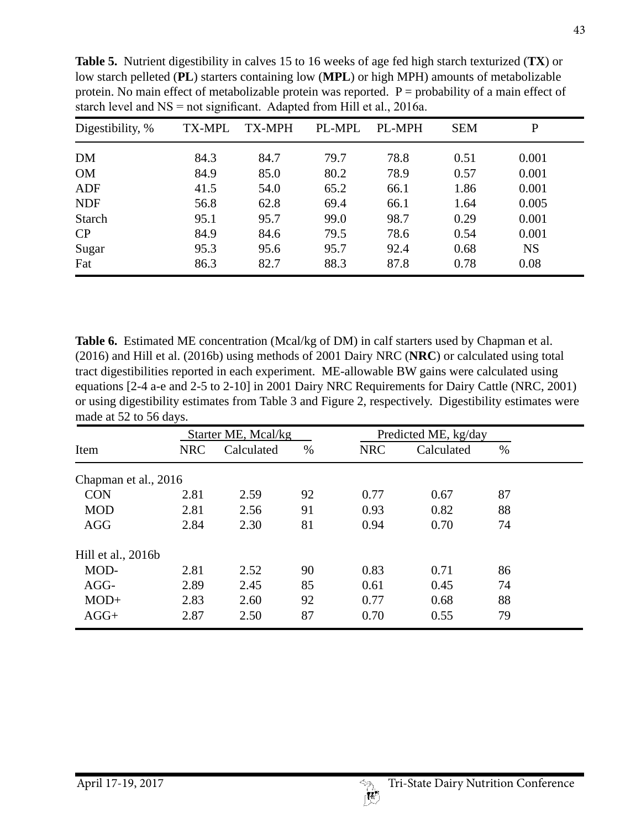| Digestibility, % | <b>TX-MPL</b> | <b>TX-MPH</b> | PL-MPL | <b>PL-MPH</b> | <b>SEM</b> | P         |
|------------------|---------------|---------------|--------|---------------|------------|-----------|
| DM               | 84.3          | 84.7          | 79.7   | 78.8          | 0.51       | 0.001     |
| <b>OM</b>        | 84.9          | 85.0          | 80.2   | 78.9          | 0.57       | 0.001     |
| ADF              | 41.5          | 54.0          | 65.2   | 66.1          | 1.86       | 0.001     |
| <b>NDF</b>       | 56.8          | 62.8          | 69.4   | 66.1          | 1.64       | 0.005     |
| <b>Starch</b>    | 95.1          | 95.7          | 99.0   | 98.7          | 0.29       | 0.001     |
| CP               | 84.9          | 84.6          | 79.5   | 78.6          | 0.54       | 0.001     |
| Sugar            | 95.3          | 95.6          | 95.7   | 92.4          | 0.68       | <b>NS</b> |
| Fat              | 86.3          | 82.7          | 88.3   | 87.8          | 0.78       | 0.08      |

**Table 5.** Nutrient digestibility in calves 15 to 16 weeks of age fed high starch texturized (**TX**) or low starch pelleted (**PL**) starters containing low (**MPL**) or high MPH) amounts of metabolizable protein. No main effect of metabolizable protein was reported.  $P =$  probability of a main effect of starch level and  $NS = not$  significant. Adapted from Hill et al., 2016a.

Table 6. Estimated ME concentration (Mcal/kg of DM) in calf starters used by Chapman et al. (2016) and Hill et al. (2016b) using methods of 2001 Dairy NRC (**NRC**) or calculated using total tract digestibilities reported in each experiment. ME-allowable BW gains were calculated using equations [2-4 a-e and 2-5 to 2-10] in 2001 Dairy NRC Requirements for Dairy Cattle (NRC, 2001) or using digestibility estimates from Table 3 and Figure 2, respectively. Digestibility estimates were made at 52 to 56 days.

|                      |            | Starter ME, Mcal/kg |      | Predicted ME, kg/day |            |      |
|----------------------|------------|---------------------|------|----------------------|------------|------|
| Item                 | <b>NRC</b> | Calculated          | $\%$ | <b>NRC</b>           | Calculated | $\%$ |
| Chapman et al., 2016 |            |                     |      |                      |            |      |
| <b>CON</b>           | 2.81       | 2.59                | 92   | 0.77                 | 0.67       | 87   |
| <b>MOD</b>           | 2.81       | 2.56                | 91   | 0.93                 | 0.82       | 88   |
| <b>AGG</b>           | 2.84       | 2.30                | 81   | 0.94                 | 0.70       | 74   |
| Hill et al., 2016b   |            |                     |      |                      |            |      |
| MOD-                 | 2.81       | 2.52                | 90   | 0.83                 | 0.71       | 86   |
| AGG-                 | 2.89       | 2.45                | 85   | 0.61                 | 0.45       | 74   |
| $MOD+$               | 2.83       | 2.60                | 92   | 0.77                 | 0.68       | 88   |
| $AGG+$               | 2.87       | 2.50                | 87   | 0.70                 | 0.55       | 79   |